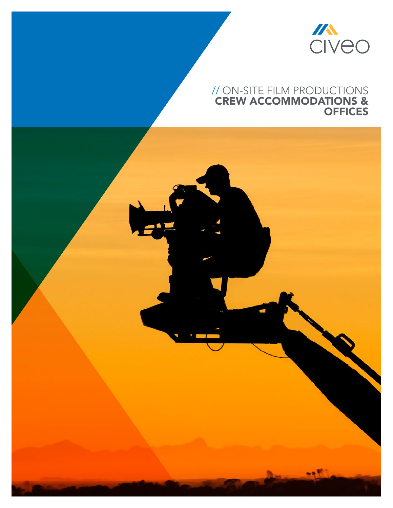

## // on-site film productions crew accommodations & **OFFICES**

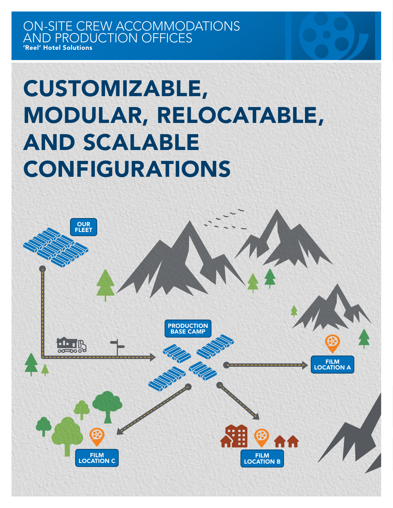# Customizable, Modular, Relocatable, and Scalable **CONFIGURATIONS**

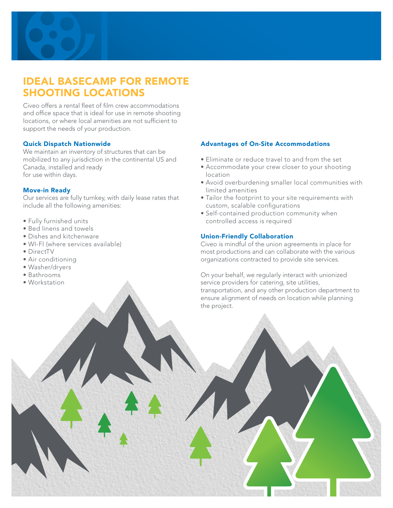

## Ideal Basecamp for Remote Shooting Locations

Civeo offers a rental fleet of film crew accommodations and office space that is ideal for use in remote shooting locations, or where local amenities are not sufficient to support the needs of your production.

#### Quick Dispatch Nationwide

We maintain an inventory of structures that can be mobilized to any jurisdiction in the continental US and Canada, installed and ready for use within days.

#### Move-in Ready

Our services are fully turnkey, with daily lease rates that include all the following amenities:

- • Fully furnished units
- Bed linens and towels
- • Dishes and kitchenware
- • WI-FI (where services available)
- DirectTV
- Air conditioning
- • Washer/dryers
- • Bathrooms
- • Workstation

#### Advantages of On-Site Accommodations

- • Eliminate or reduce travel to and from the set
- Accommodate your crew closer to your shooting location
- Avoid overburdening smaller local communities with limited amenities
- Tailor the footprint to your site requirements with custom, scalable configurations
- Self-contained production community when controlled access is required

#### Union-Friendly Collaboration

Civeo is mindful of the union agreements in place for most productions and can collaborate with the various organizations contracted to provide site services.

On your behalf, we regularly interact with unionized service providers for catering, site utilities, transportation, and any other production department to ensure alignment of needs on location while planning the project.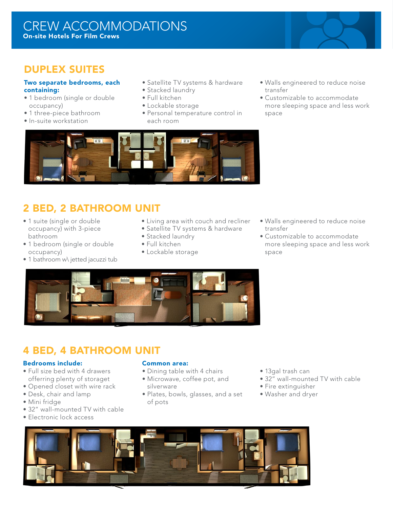### crew accommodations On-site Hotels For Film Crews

## Duplex Suites

#### Two separate bedrooms, each containing:

- 1 bedroom (single or double occupancy)
- 1 three-piece bathroom
- • In-suite workstation
- Satellite TV systems & hardware
- Stacked laundry
- • Full kitchen
- • Lockable storage
- • Personal temperature control in each room
- • Walls engineered to reduce noise transfer
- Customizable to accommodate more sleeping space and less work space



# 2 Bed, 2 Bathroom Unit

- 1 suite (single or double occupancy) with 3-piece bathroom
- 1 bedroom (single or double occupancy)
- 1 bathroom w\ jetted jacuzzi tub
- • Living area with couch and recliner
- Satellite TV systems & hardware
- Stacked laundry
- • Full kitchen
- • Lockable storage
- • Walls engineered to reduce noise transfer
- Customizable to accommodate more sleeping space and less work space



## 4 Bed, 4 Bathroom Unit

#### Bedrooms include:

- Full size bed with 4 drawers offerring plenty of storaget
- Opened closet with wire rack
- Desk, chair and lamp
- • Mini fridge
- 32" wall-mounted TV with cable
- Electronic lock access

#### Common area:

- Dining table with 4 chairs
- • Microwave, coffee pot, and silverware
- Plates, bowls, glasses, and a set of pots
- • 13gal trash can
- 32" wall-mounted TV with cable
- Fire extinguisher
- • Washer and dryer

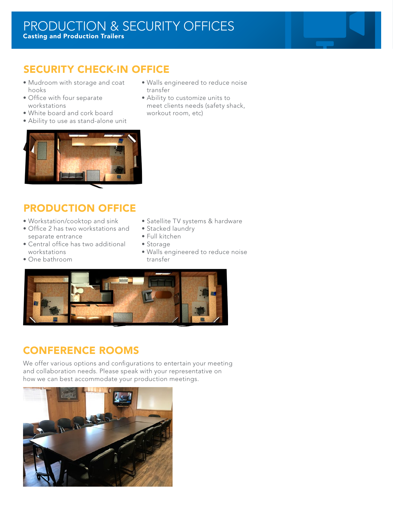## SECURITY CHECK-IN OFFICE

- • Mudroom with storage and coat hooks
- • Office with four separate workstations
- • White board and cork board
- Ability to use as stand-alone unit
- • Walls engineered to reduce noise transfer
- Ability to customize units to meet clients needs (safety shack, workout room, etc)



## Production Office

- • Workstation/cooktop and sink
- Office 2 has two workstations and separate entrance
- Central office has two additional workstations
- • One bathroom
- Satellite TV systems & hardware
- Stacked laundry
- • Full kitchen
- • Storage
- • Walls engineered to reduce noise transfer



## Conference Rooms

We offer various options and configurations to entertain your meeting and collaboration needs. Please speak with your representative on how we can best accommodate your production meetings.